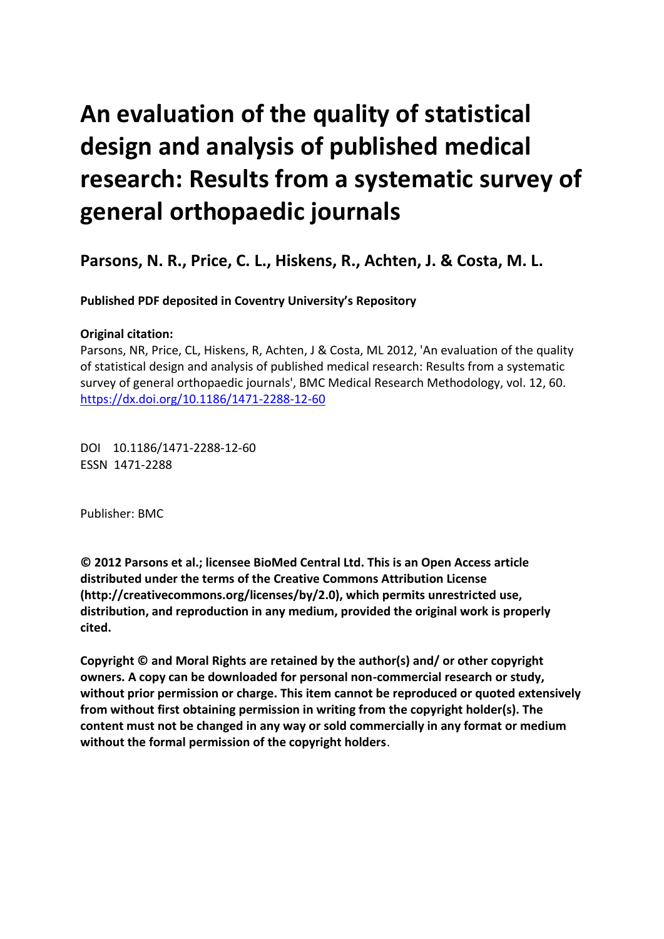# **An evaluation of the quality of statistical design and analysis of published medical research: Results from a systematic survey of general orthopaedic journals**

**Parsons, N. R., Price, C. L., Hiskens, R., Achten, J. & Costa, M. L.**

**Published PDF deposited in Coventry University's Repository** 

## **Original citation:**

Parsons, NR, Price, CL, Hiskens, R, Achten, J & Costa, ML 2012, 'An evaluation of the quality of statistical design and analysis of published medical research: Results from a systematic survey of general orthopaedic journals', BMC Medical Research Methodology, vol. 12, 60. https://dx.doi.org/10.1186/1471-2288-12-60

DOI 10.1186/1471-2288-12-60 ESSN 1471-2288

Publisher: BMC

**© 2012 Parsons et al.; licensee BioMed Central Ltd. This is an Open Access article distributed under the terms of the Creative Commons Attribution License (http://creativecommons.org/licenses/by/2.0), which permits unrestricted use, distribution, and reproduction in any medium, provided the original work is properly cited.**

**Copyright © and Moral Rights are retained by the author(s) and/ or other copyright owners. A copy can be downloaded for personal non-commercial research or study, without prior permission or charge. This item cannot be reproduced or quoted extensively from without first obtaining permission in writing from the copyright holder(s). The content must not be changed in any way or sold commercially in any format or medium without the formal permission of the copyright holders**.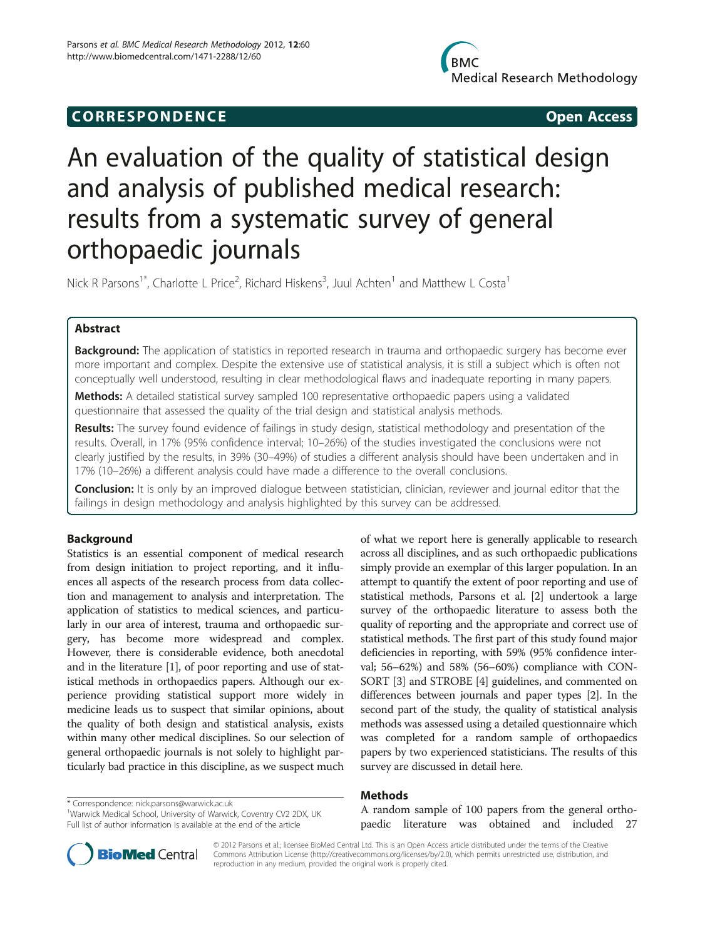## **CORRESPONDENCE CORRESPONDENCE** *CORRESPONDENCE*

## An evaluation of the quality of statistical design and analysis of published medical research: results from a systematic survey of general orthopaedic journals

Nick R Parsons<sup>1\*</sup>, Charlotte L Price<sup>2</sup>, Richard Hiskens<sup>3</sup>, Juul Achten<sup>1</sup> and Matthew L Costa<sup>1</sup>

## Abstract

Background: The application of statistics in reported research in trauma and orthopaedic surgery has become ever more important and complex. Despite the extensive use of statistical analysis, it is still a subject which is often not conceptually well understood, resulting in clear methodological flaws and inadequate reporting in many papers.

**Methods:** A detailed statistical survey sampled 100 representative orthopaedic papers using a validated questionnaire that assessed the quality of the trial design and statistical analysis methods.

Results: The survey found evidence of failings in study design, statistical methodology and presentation of the results. Overall, in 17% (95% confidence interval; 10–26%) of the studies investigated the conclusions were not clearly justified by the results, in 39% (30–49%) of studies a different analysis should have been undertaken and in 17% (10–26%) a different analysis could have made a difference to the overall conclusions.

Conclusion: It is only by an improved dialogue between statistician, clinician, reviewer and journal editor that the failings in design methodology and analysis highlighted by this survey can be addressed.

## Background

Statistics is an essential component of medical research from design initiation to project reporting, and it influences all aspects of the research process from data collection and management to analysis and interpretation. The application of statistics to medical sciences, and particularly in our area of interest, trauma and orthopaedic surgery, has become more widespread and complex. However, there is considerable evidence, both anecdotal and in the literature [\[1\]](#page-8-0), of poor reporting and use of statistical methods in orthopaedics papers. Although our experience providing statistical support more widely in medicine leads us to suspect that similar opinions, about the quality of both design and statistical analysis, exists within many other medical disciplines. So our selection of general orthopaedic journals is not solely to highlight particularly bad practice in this discipline, as we suspect much

of what we report here is generally applicable to research across all disciplines, and as such orthopaedic publications simply provide an exemplar of this larger population. In an attempt to quantify the extent of poor reporting and use of statistical methods, Parsons et al. [[2](#page-8-0)] undertook a large survey of the orthopaedic literature to assess both the quality of reporting and the appropriate and correct use of statistical methods. The first part of this study found major deficiencies in reporting, with 59% (95% confidence interval; 56–62%) and 58% (56–60%) compliance with CON-SORT [\[3\]](#page-8-0) and STROBE [\[4\]](#page-8-0) guidelines, and commented on differences between journals and paper types [[2\]](#page-8-0). In the second part of the study, the quality of statistical analysis methods was assessed using a detailed questionnaire which was completed for a random sample of orthopaedics papers by two experienced statisticians. The results of this survey are discussed in detail here.

## Methods

<sup>1</sup>Warwick Medical School, University of Warwick, Coventry CV2 2DX, UK Full list of author information is available at the end of the article

A random sample of 100 papers from the general orthopaedic literature was obtained and included 27



© 2012 Parsons et al.; licensee BioMed Central Ltd. This is an Open Access article distributed under the terms of the Creative Commons Attribution License [\(http://creativecommons.org/licenses/by/2.0\)](http://creativecommons.org/licenses/by/2.0), which permits unrestricted use, distribution, and reproduction in any medium, provided the original work is properly cited.

<sup>\*</sup> Correspondence: [nick.parsons@warwick.ac.uk](mailto:nick.parsons@warwick.ac.uk) <sup>1</sup>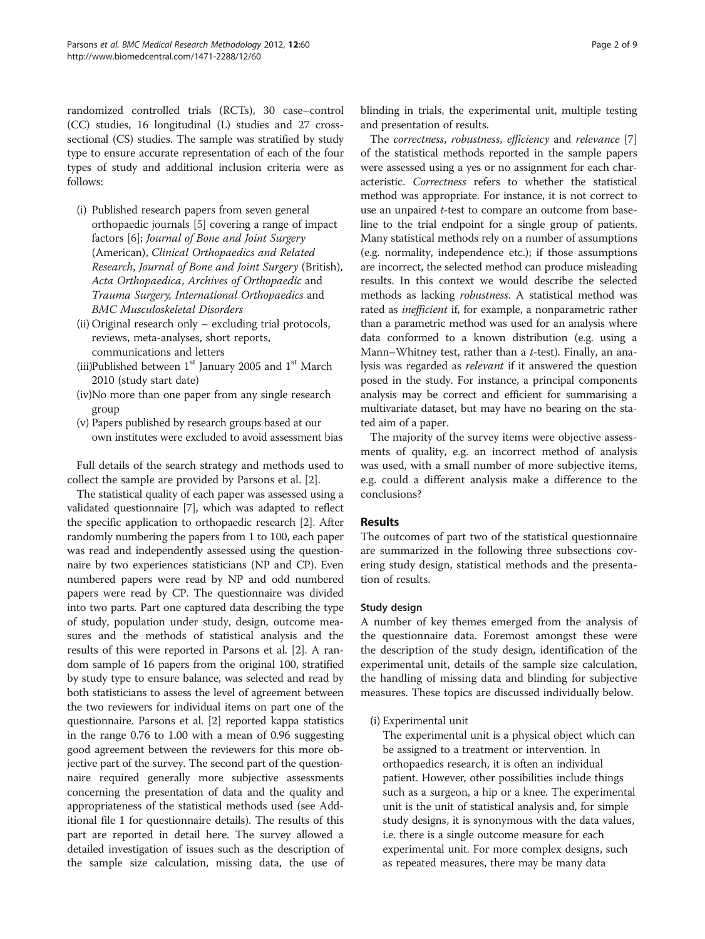randomized controlled trials (RCTs), 30 case–control (CC) studies, 16 longitudinal (L) studies and 27 crosssectional (CS) studies. The sample was stratified by study type to ensure accurate representation of each of the four types of study and additional inclusion criteria were as follows:

- (i) Published research papers from seven general orthopaedic journals [\[5](#page-8-0)] covering a range of impact factors [[6](#page-8-0)]; Journal of Bone and Joint Surgery (American), Clinical Orthopaedics and Related Research, Journal of Bone and Joint Surgery (British), Acta Orthopaedica, Archives of Orthopaedic and Trauma Surgery, International Orthopaedics and BMC Musculoskeletal Disorders
- (ii) Original research only excluding trial protocols, reviews, meta-analyses, short reports, communications and letters
- (iii)Published between  $1<sup>st</sup>$  January 2005 and  $1<sup>st</sup>$  March 2010 (study start date)
- (iv)No more than one paper from any single research group
- (v) Papers published by research groups based at our own institutes were excluded to avoid assessment bias

Full details of the search strategy and methods used to collect the sample are provided by Parsons et al. [[2\]](#page-8-0).

The statistical quality of each paper was assessed using a validated questionnaire [\[7](#page-8-0)], which was adapted to reflect the specific application to orthopaedic research [\[2](#page-8-0)]. After randomly numbering the papers from 1 to 100, each paper was read and independently assessed using the questionnaire by two experiences statisticians (NP and CP). Even numbered papers were read by NP and odd numbered papers were read by CP. The questionnaire was divided into two parts. Part one captured data describing the type of study, population under study, design, outcome measures and the methods of statistical analysis and the results of this were reported in Parsons et al. [[2](#page-8-0)]. A random sample of 16 papers from the original 100, stratified by study type to ensure balance, was selected and read by both statisticians to assess the level of agreement between the two reviewers for individual items on part one of the questionnaire. Parsons et al. [\[2\]](#page-8-0) reported kappa statistics in the range 0.76 to 1.00 with a mean of 0.96 suggesting good agreement between the reviewers for this more objective part of the survey. The second part of the questionnaire required generally more subjective assessments concerning the presentation of data and the quality and appropriateness of the statistical methods used (see Additional file [1](#page-8-0) for questionnaire details). The results of this part are reported in detail here. The survey allowed a detailed investigation of issues such as the description of the sample size calculation, missing data, the use of blinding in trials, the experimental unit, multiple testing and presentation of results.

The correctness, robustness, efficiency and relevance [[7](#page-8-0)] of the statistical methods reported in the sample papers were assessed using a yes or no assignment for each characteristic. Correctness refers to whether the statistical method was appropriate. For instance, it is not correct to use an unpaired *t*-test to compare an outcome from baseline to the trial endpoint for a single group of patients. Many statistical methods rely on a number of assumptions (e.g. normality, independence etc.); if those assumptions are incorrect, the selected method can produce misleading results. In this context we would describe the selected methods as lacking robustness. A statistical method was rated as inefficient if, for example, a nonparametric rather than a parametric method was used for an analysis where data conformed to a known distribution (e.g. using a Mann–Whitney test, rather than a *t*-test). Finally, an analysis was regarded as relevant if it answered the question posed in the study. For instance, a principal components analysis may be correct and efficient for summarising a multivariate dataset, but may have no bearing on the stated aim of a paper.

The majority of the survey items were objective assessments of quality, e.g. an incorrect method of analysis was used, with a small number of more subjective items, e.g. could a different analysis make a difference to the conclusions?

## **Results**

The outcomes of part two of the statistical questionnaire are summarized in the following three subsections covering study design, statistical methods and the presentation of results.

#### Study design

A number of key themes emerged from the analysis of the questionnaire data. Foremost amongst these were the description of the study design, identification of the experimental unit, details of the sample size calculation, the handling of missing data and blinding for subjective measures. These topics are discussed individually below.

(i) Experimental unit

The experimental unit is a physical object which can be assigned to a treatment or intervention. In orthopaedics research, it is often an individual patient. However, other possibilities include things such as a surgeon, a hip or a knee. The experimental unit is the unit of statistical analysis and, for simple study designs, it is synonymous with the data values, i.e. there is a single outcome measure for each experimental unit. For more complex designs, such as repeated measures, there may be many data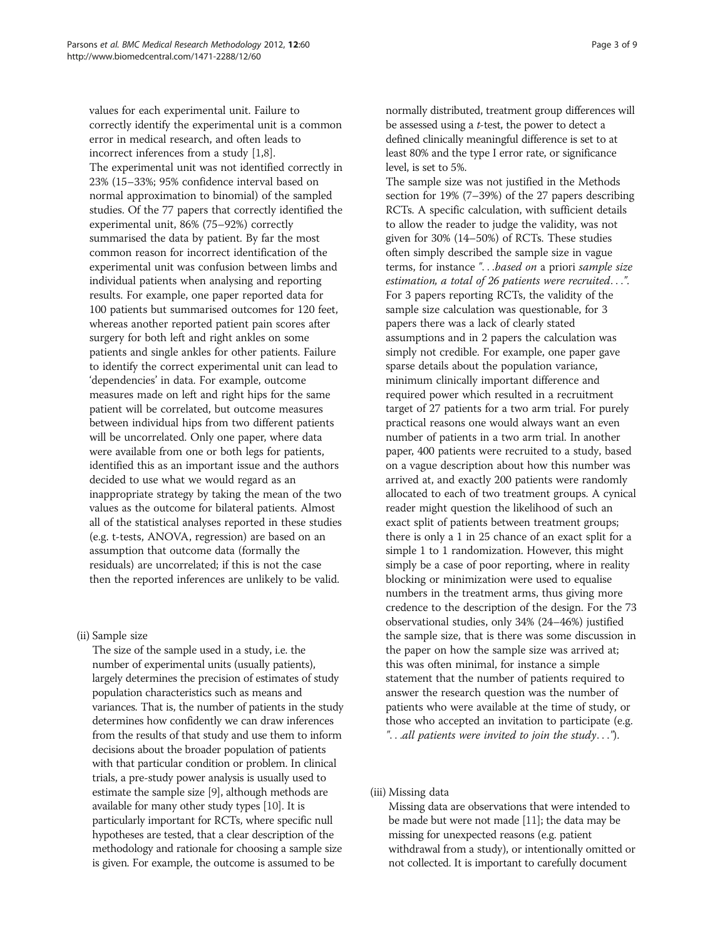values for each experimental unit. Failure to correctly identify the experimental unit is a common error in medical research, and often leads to incorrect inferences from a study [[1,8\]](#page-8-0). The experimental unit was not identified correctly in 23% (15–33%; 95% confidence interval based on normal approximation to binomial) of the sampled studies. Of the 77 papers that correctly identified the experimental unit, 86% (75–92%) correctly summarised the data by patient. By far the most common reason for incorrect identification of the experimental unit was confusion between limbs and individual patients when analysing and reporting results. For example, one paper reported data for 100 patients but summarised outcomes for 120 feet, whereas another reported patient pain scores after surgery for both left and right ankles on some patients and single ankles for other patients. Failure to identify the correct experimental unit can lead to 'dependencies' in data. For example, outcome measures made on left and right hips for the same patient will be correlated, but outcome measures between individual hips from two different patients will be uncorrelated. Only one paper, where data were available from one or both legs for patients, identified this as an important issue and the authors decided to use what we would regard as an inappropriate strategy by taking the mean of the two values as the outcome for bilateral patients. Almost all of the statistical analyses reported in these studies (e.g. t-tests, ANOVA, regression) are based on an assumption that outcome data (formally the residuals) are uncorrelated; if this is not the case then the reported inferences are unlikely to be valid.

## (ii) Sample size

The size of the sample used in a study, i.e. the number of experimental units (usually patients), largely determines the precision of estimates of study population characteristics such as means and variances. That is, the number of patients in the study determines how confidently we can draw inferences from the results of that study and use them to inform decisions about the broader population of patients with that particular condition or problem. In clinical trials, a pre-study power analysis is usually used to estimate the sample size [[9](#page-8-0)], although methods are available for many other study types [\[10\]](#page-8-0). It is particularly important for RCTs, where specific null hypotheses are tested, that a clear description of the methodology and rationale for choosing a sample size is given. For example, the outcome is assumed to be

normally distributed, treatment group differences will be assessed using a  $t$ -test, the power to detect a defined clinically meaningful difference is set to at least 80% and the type I error rate, or significance level, is set to 5%.

The sample size was not justified in the Methods section for 19% (7–39%) of the 27 papers describing RCTs. A specific calculation, with sufficient details to allow the reader to judge the validity, was not given for 30% (14–50%) of RCTs. These studies often simply described the sample size in vague terms, for instance "...based on a priori sample size estimation, a total of 26 patients were recruited...". For 3 papers reporting RCTs, the validity of the sample size calculation was questionable, for 3 papers there was a lack of clearly stated assumptions and in 2 papers the calculation was simply not credible. For example, one paper gave sparse details about the population variance, minimum clinically important difference and required power which resulted in a recruitment target of 27 patients for a two arm trial. For purely practical reasons one would always want an even number of patients in a two arm trial. In another paper, 400 patients were recruited to a study, based on a vague description about how this number was arrived at, and exactly 200 patients were randomly allocated to each of two treatment groups. A cynical reader might question the likelihood of such an exact split of patients between treatment groups; there is only a 1 in 25 chance of an exact split for a simple 1 to 1 randomization. However, this might simply be a case of poor reporting, where in reality blocking or minimization were used to equalise numbers in the treatment arms, thus giving more credence to the description of the design. For the 73 observational studies, only 34% (24–46%) justified the sample size, that is there was some discussion in the paper on how the sample size was arrived at; this was often minimal, for instance a simple statement that the number of patients required to answer the research question was the number of patients who were available at the time of study, or those who accepted an invitation to participate (e.g. ". . .all patients were invited to join the study...").

#### (iii) Missing data

Missing data are observations that were intended to be made but were not made [\[11\]](#page-8-0); the data may be missing for unexpected reasons (e.g. patient withdrawal from a study), or intentionally omitted or not collected. It is important to carefully document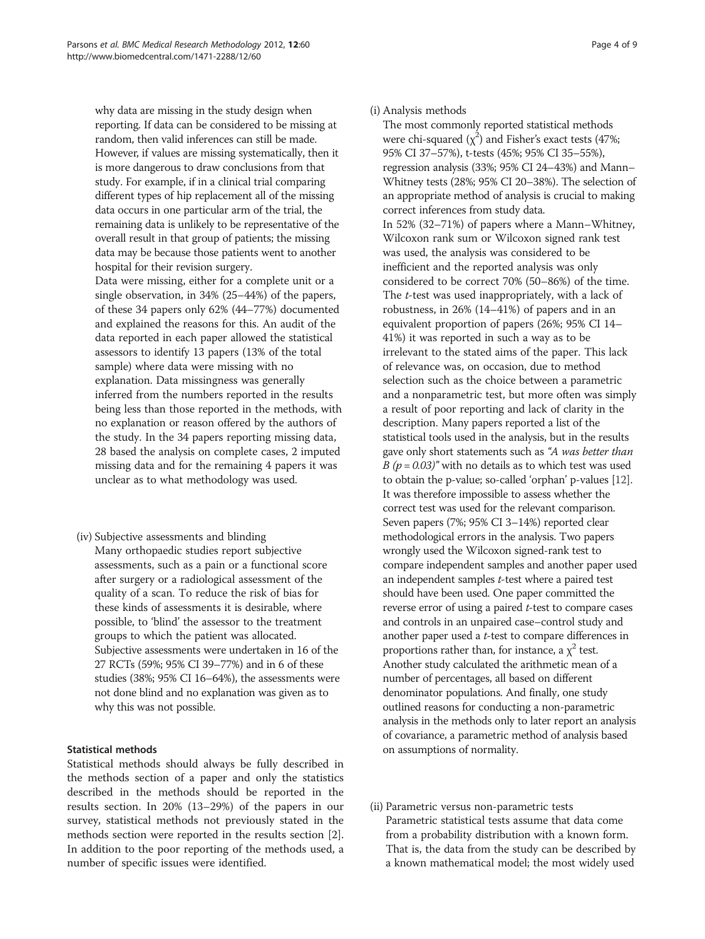why data are missing in the study design when reporting. If data can be considered to be missing at random, then valid inferences can still be made. However, if values are missing systematically, then it is more dangerous to draw conclusions from that study. For example, if in a clinical trial comparing different types of hip replacement all of the missing data occurs in one particular arm of the trial, the remaining data is unlikely to be representative of the overall result in that group of patients; the missing data may be because those patients went to another hospital for their revision surgery. Data were missing, either for a complete unit or a

single observation, in 34% (25–44%) of the papers, of these 34 papers only 62% (44–77%) documented and explained the reasons for this. An audit of the data reported in each paper allowed the statistical assessors to identify 13 papers (13% of the total sample) where data were missing with no explanation. Data missingness was generally inferred from the numbers reported in the results being less than those reported in the methods, with no explanation or reason offered by the authors of the study. In the 34 papers reporting missing data, 28 based the analysis on complete cases, 2 imputed missing data and for the remaining 4 papers it was unclear as to what methodology was used.

(iv) Subjective assessments and blinding Many orthopaedic studies report subjective assessments, such as a pain or a functional score after surgery or a radiological assessment of the quality of a scan. To reduce the risk of bias for these kinds of assessments it is desirable, where possible, to 'blind' the assessor to the treatment groups to which the patient was allocated. Subjective assessments were undertaken in 16 of the 27 RCTs (59%; 95% CI 39–77%) and in 6 of these studies (38%; 95% CI 16–64%), the assessments were not done blind and no explanation was given as to why this was not possible.

## Statistical methods

Statistical methods should always be fully described in the methods section of a paper and only the statistics described in the methods should be reported in the results section. In 20% (13–29%) of the papers in our survey, statistical methods not previously stated in the methods section were reported in the results section [\[2](#page-8-0)]. In addition to the poor reporting of the methods used, a number of specific issues were identified.

### (i) Analysis methods

The most commonly reported statistical methods were chi-squared ( $\chi^2$ ) and Fisher's exact tests (47%; 95% CI 37–57%), t-tests (45%; 95% CI 35–55%), regression analysis (33%; 95% CI 24–43%) and Mann– Whitney tests (28%; 95% CI 20–38%). The selection of an appropriate method of analysis is crucial to making correct inferences from study data. In 52% (32–71%) of papers where a Mann–Whitney, Wilcoxon rank sum or Wilcoxon signed rank test was used, the analysis was considered to be inefficient and the reported analysis was only considered to be correct 70% (50–86%) of the time. The *t*-test was used inappropriately, with a lack of robustness, in 26% (14–41%) of papers and in an equivalent proportion of papers (26%; 95% CI 14– 41%) it was reported in such a way as to be irrelevant to the stated aims of the paper. This lack of relevance was, on occasion, due to method selection such as the choice between a parametric and a nonparametric test, but more often was simply a result of poor reporting and lack of clarity in the description. Many papers reported a list of the statistical tools used in the analysis, but in the results gave only short statements such as "A was better than  $B(p = 0.03)$ " with no details as to which test was used to obtain the p-value; so-called 'orphan' p-values [\[12](#page-8-0)]. It was therefore impossible to assess whether the correct test was used for the relevant comparison. Seven papers (7%; 95% CI 3–14%) reported clear methodological errors in the analysis. Two papers wrongly used the Wilcoxon signed-rank test to compare independent samples and another paper used an independent samples t-test where a paired test should have been used. One paper committed the reverse error of using a paired *t*-test to compare cases and controls in an unpaired case–control study and another paper used a t-test to compare differences in proportions rather than, for instance, a  $\chi^2$  test. Another study calculated the arithmetic mean of a number of percentages, all based on different denominator populations. And finally, one study outlined reasons for conducting a non-parametric analysis in the methods only to later report an analysis of covariance, a parametric method of analysis based on assumptions of normality.

(ii) Parametric versus non-parametric tests Parametric statistical tests assume that data come from a probability distribution with a known form. That is, the data from the study can be described by a known mathematical model; the most widely used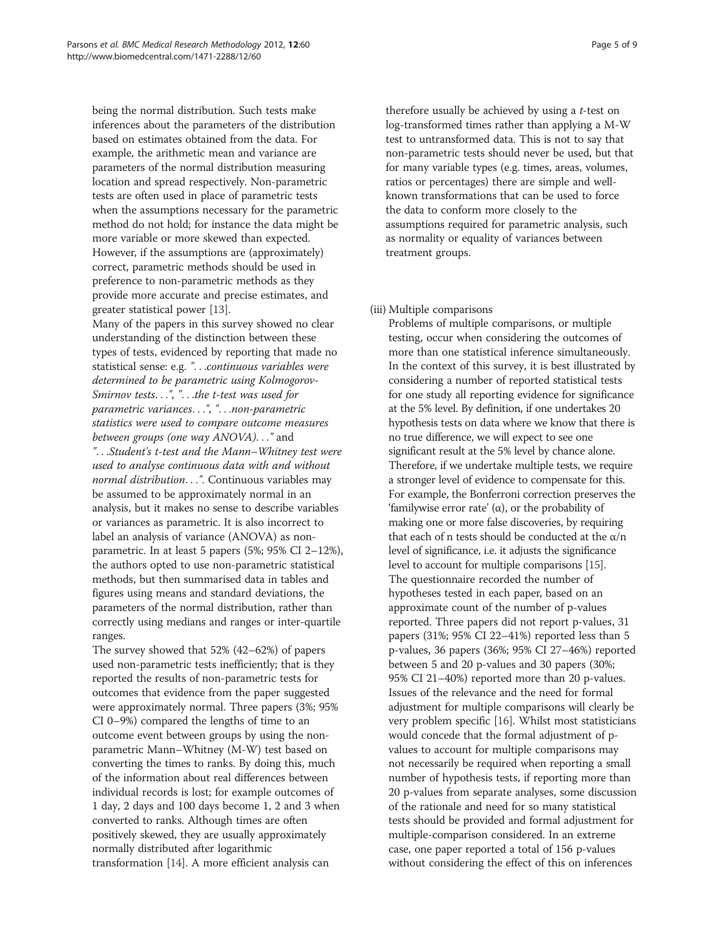being the normal distribution. Such tests make inferences about the parameters of the distribution based on estimates obtained from the data. For example, the arithmetic mean and variance are parameters of the normal distribution measuring location and spread respectively. Non-parametric tests are often used in place of parametric tests when the assumptions necessary for the parametric method do not hold; for instance the data might be more variable or more skewed than expected. However, if the assumptions are (approximately) correct, parametric methods should be used in preference to non-parametric methods as they provide more accurate and precise estimates, and greater statistical power [\[13\]](#page-8-0). Many of the papers in this survey showed no clear understanding of the distinction between these types of tests, evidenced by reporting that made no statistical sense: e.g. "...continuous variables were determined to be parametric using Kolmogorov-Smirnov tests...", "...the t-test was used for parametric variances...", "...non-parametric statistics were used to compare outcome measures between groups (one way ANOVA)..." and "...Student's t-test and the Mann–Whitney test were used to analyse continuous data with and without normal distribution...". Continuous variables may be assumed to be approximately normal in an analysis, but it makes no sense to describe variables or variances as parametric. It is also incorrect to label an analysis of variance (ANOVA) as nonparametric. In at least 5 papers (5%; 95% CI 2–12%), the authors opted to use non-parametric statistical methods, but then summarised data in tables and figures using means and standard deviations, the parameters of the normal distribution, rather than correctly using medians and ranges or inter-quartile ranges.

The survey showed that 52% (42–62%) of papers used non-parametric tests inefficiently; that is they reported the results of non-parametric tests for outcomes that evidence from the paper suggested were approximately normal. Three papers (3%; 95% CI 0–9%) compared the lengths of time to an outcome event between groups by using the nonparametric Mann–Whitney (M-W) test based on converting the times to ranks. By doing this, much of the information about real differences between individual records is lost; for example outcomes of 1 day, 2 days and 100 days become 1, 2 and 3 when converted to ranks. Although times are often positively skewed, they are usually approximately normally distributed after logarithmic transformation [[14\]](#page-8-0). A more efficient analysis can

therefore usually be achieved by using a  $t$ -test on log-transformed times rather than applying a M-W test to untransformed data. This is not to say that non-parametric tests should never be used, but that for many variable types (e.g. times, areas, volumes, ratios or percentages) there are simple and wellknown transformations that can be used to force the data to conform more closely to the assumptions required for parametric analysis, such as normality or equality of variances between treatment groups.

## (iii) Multiple comparisons

Problems of multiple comparisons, or multiple testing, occur when considering the outcomes of more than one statistical inference simultaneously. In the context of this survey, it is best illustrated by considering a number of reported statistical tests for one study all reporting evidence for significance at the 5% level. By definition, if one undertakes 20 hypothesis tests on data where we know that there is no true difference, we will expect to see one significant result at the 5% level by chance alone. Therefore, if we undertake multiple tests, we require a stronger level of evidence to compensate for this. For example, the Bonferroni correction preserves the 'familywise error rate'  $(\alpha)$ , or the probability of making one or more false discoveries, by requiring that each of n tests should be conducted at the  $\alpha/n$ level of significance, i.e. it adjusts the significance level to account for multiple comparisons [[15](#page-8-0)]. The questionnaire recorded the number of hypotheses tested in each paper, based on an approximate count of the number of p-values reported. Three papers did not report p-values, 31 papers (31%; 95% CI 22–41%) reported less than 5 p-values, 36 papers (36%; 95% CI 27–46%) reported between 5 and 20 p-values and 30 papers (30%; 95% CI 21–40%) reported more than 20 p-values. Issues of the relevance and the need for formal adjustment for multiple comparisons will clearly be very problem specific [[16](#page-8-0)]. Whilst most statisticians would concede that the formal adjustment of pvalues to account for multiple comparisons may not necessarily be required when reporting a small number of hypothesis tests, if reporting more than 20 p-values from separate analyses, some discussion of the rationale and need for so many statistical tests should be provided and formal adjustment for multiple-comparison considered. In an extreme case, one paper reported a total of 156 p-values without considering the effect of this on inferences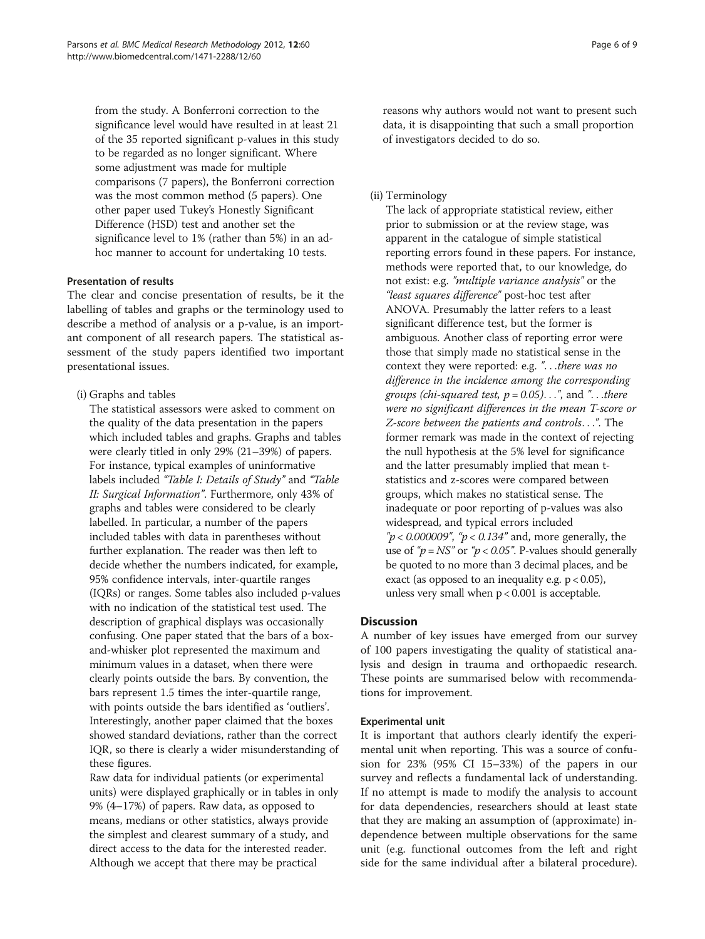from the study. A Bonferroni correction to the significance level would have resulted in at least 21 of the 35 reported significant p-values in this study to be regarded as no longer significant. Where some adjustment was made for multiple comparisons (7 papers), the Bonferroni correction was the most common method (5 papers). One other paper used Tukey's Honestly Significant Difference (HSD) test and another set the significance level to 1% (rather than 5%) in an adhoc manner to account for undertaking 10 tests.

## Presentation of results

The clear and concise presentation of results, be it the labelling of tables and graphs or the terminology used to describe a method of analysis or a p-value, is an important component of all research papers. The statistical assessment of the study papers identified two important presentational issues.

(i) Graphs and tables

The statistical assessors were asked to comment on the quality of the data presentation in the papers which included tables and graphs. Graphs and tables were clearly titled in only 29% (21–39%) of papers. For instance, typical examples of uninformative labels included "Table I: Details of Study" and "Table II: Surgical Information". Furthermore, only 43% of graphs and tables were considered to be clearly labelled. In particular, a number of the papers included tables with data in parentheses without further explanation. The reader was then left to decide whether the numbers indicated, for example, 95% confidence intervals, inter-quartile ranges (IQRs) or ranges. Some tables also included p-values with no indication of the statistical test used. The description of graphical displays was occasionally confusing. One paper stated that the bars of a boxand-whisker plot represented the maximum and minimum values in a dataset, when there were clearly points outside the bars. By convention, the bars represent 1.5 times the inter-quartile range, with points outside the bars identified as 'outliers'. Interestingly, another paper claimed that the boxes showed standard deviations, rather than the correct IQR, so there is clearly a wider misunderstanding of these figures.

Raw data for individual patients (or experimental units) were displayed graphically or in tables in only 9% (4–17%) of papers. Raw data, as opposed to means, medians or other statistics, always provide the simplest and clearest summary of a study, and direct access to the data for the interested reader. Although we accept that there may be practical

reasons why authors would not want to present such data, it is disappointing that such a small proportion of investigators decided to do so.

## (ii) Terminology

The lack of appropriate statistical review, either prior to submission or at the review stage, was apparent in the catalogue of simple statistical reporting errors found in these papers. For instance, methods were reported that, to our knowledge, do not exist: e.g. "multiple variance analysis" or the "least squares difference" post-hoc test after ANOVA. Presumably the latter refers to a least significant difference test, but the former is ambiguous. Another class of reporting error were those that simply made no statistical sense in the context they were reported: e.g. "...there was no difference in the incidence among the corresponding groups (chi-squared test,  $p = 0.05$ )...", and "...there were no significant differences in the mean T-score or Z-score between the patients and controls...". The former remark was made in the context of rejecting the null hypothesis at the 5% level for significance and the latter presumably implied that mean tstatistics and z-scores were compared between groups, which makes no statistical sense. The inadequate or poor reporting of p-values was also widespread, and typical errors included  $\mu$  < 0.000009", " $p$  < 0.134" and, more generally, the use of " $p = NS$ " or " $p < 0.05$ ". P-values should generally be quoted to no more than 3 decimal places, and be exact (as opposed to an inequality e.g.  $p < 0.05$ ), unless very small when p < 0.001 is acceptable.

## **Discussion**

A number of key issues have emerged from our survey of 100 papers investigating the quality of statistical analysis and design in trauma and orthopaedic research. These points are summarised below with recommendations for improvement.

## Experimental unit

It is important that authors clearly identify the experimental unit when reporting. This was a source of confusion for 23% (95% CI 15–33%) of the papers in our survey and reflects a fundamental lack of understanding. If no attempt is made to modify the analysis to account for data dependencies, researchers should at least state that they are making an assumption of (approximate) independence between multiple observations for the same unit (e.g. functional outcomes from the left and right side for the same individual after a bilateral procedure).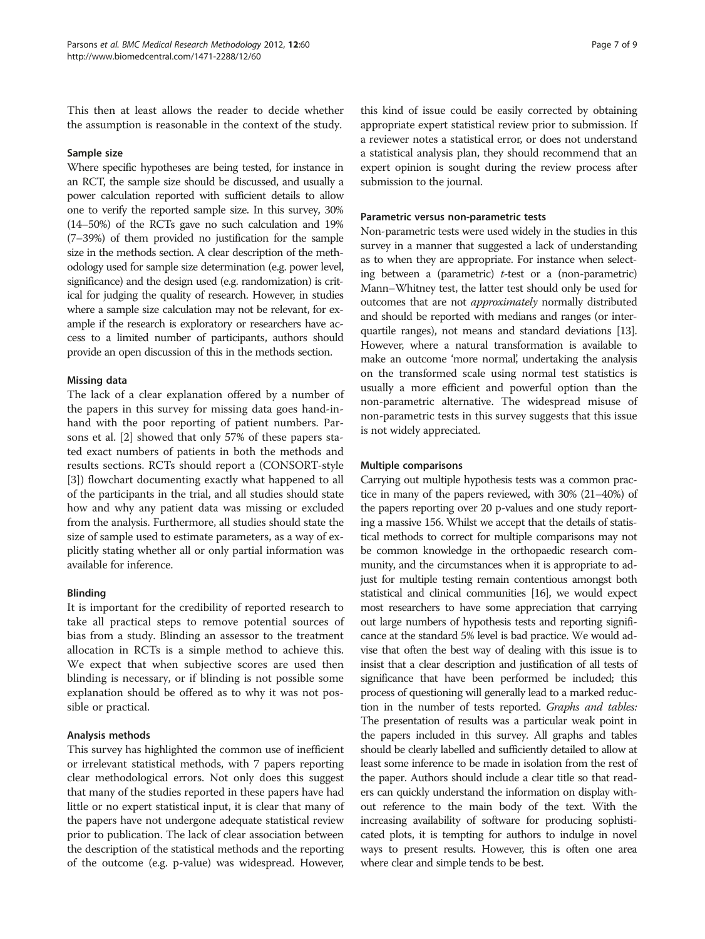This then at least allows the reader to decide whether the assumption is reasonable in the context of the study.

#### Sample size

Where specific hypotheses are being tested, for instance in an RCT, the sample size should be discussed, and usually a power calculation reported with sufficient details to allow one to verify the reported sample size. In this survey, 30% (14–50%) of the RCTs gave no such calculation and 19% (7–39%) of them provided no justification for the sample size in the methods section. A clear description of the methodology used for sample size determination (e.g. power level, significance) and the design used (e.g. randomization) is critical for judging the quality of research. However, in studies where a sample size calculation may not be relevant, for example if the research is exploratory or researchers have access to a limited number of participants, authors should provide an open discussion of this in the methods section.

#### Missing data

The lack of a clear explanation offered by a number of the papers in this survey for missing data goes hand-inhand with the poor reporting of patient numbers. Parsons et al. [[2](#page-8-0)] showed that only 57% of these papers stated exact numbers of patients in both the methods and results sections. RCTs should report a (CONSORT-style [[3\]](#page-8-0)) flowchart documenting exactly what happened to all of the participants in the trial, and all studies should state how and why any patient data was missing or excluded from the analysis. Furthermore, all studies should state the size of sample used to estimate parameters, as a way of explicitly stating whether all or only partial information was available for inference.

#### Blinding

It is important for the credibility of reported research to take all practical steps to remove potential sources of bias from a study. Blinding an assessor to the treatment allocation in RCTs is a simple method to achieve this. We expect that when subjective scores are used then blinding is necessary, or if blinding is not possible some explanation should be offered as to why it was not possible or practical.

#### Analysis methods

This survey has highlighted the common use of inefficient or irrelevant statistical methods, with 7 papers reporting clear methodological errors. Not only does this suggest that many of the studies reported in these papers have had little or no expert statistical input, it is clear that many of the papers have not undergone adequate statistical review prior to publication. The lack of clear association between the description of the statistical methods and the reporting of the outcome (e.g. p-value) was widespread. However,

this kind of issue could be easily corrected by obtaining appropriate expert statistical review prior to submission. If a reviewer notes a statistical error, or does not understand a statistical analysis plan, they should recommend that an expert opinion is sought during the review process after submission to the journal.

#### Parametric versus non-parametric tests

Non-parametric tests were used widely in the studies in this survey in a manner that suggested a lack of understanding as to when they are appropriate. For instance when selecting between a (parametric)  $t$ -test or a (non-parametric) Mann–Whitney test, the latter test should only be used for outcomes that are not approximately normally distributed and should be reported with medians and ranges (or interquartile ranges), not means and standard deviations [\[13](#page-8-0)]. However, where a natural transformation is available to make an outcome 'more normal', undertaking the analysis on the transformed scale using normal test statistics is usually a more efficient and powerful option than the non-parametric alternative. The widespread misuse of non-parametric tests in this survey suggests that this issue is not widely appreciated.

#### Multiple comparisons

Carrying out multiple hypothesis tests was a common practice in many of the papers reviewed, with 30% (21–40%) of the papers reporting over 20 p-values and one study reporting a massive 156. Whilst we accept that the details of statistical methods to correct for multiple comparisons may not be common knowledge in the orthopaedic research community, and the circumstances when it is appropriate to adjust for multiple testing remain contentious amongst both statistical and clinical communities [[16\]](#page-8-0), we would expect most researchers to have some appreciation that carrying out large numbers of hypothesis tests and reporting significance at the standard 5% level is bad practice. We would advise that often the best way of dealing with this issue is to insist that a clear description and justification of all tests of significance that have been performed be included; this process of questioning will generally lead to a marked reduction in the number of tests reported. Graphs and tables: The presentation of results was a particular weak point in the papers included in this survey. All graphs and tables should be clearly labelled and sufficiently detailed to allow at least some inference to be made in isolation from the rest of the paper. Authors should include a clear title so that readers can quickly understand the information on display without reference to the main body of the text. With the increasing availability of software for producing sophisticated plots, it is tempting for authors to indulge in novel ways to present results. However, this is often one area where clear and simple tends to be best.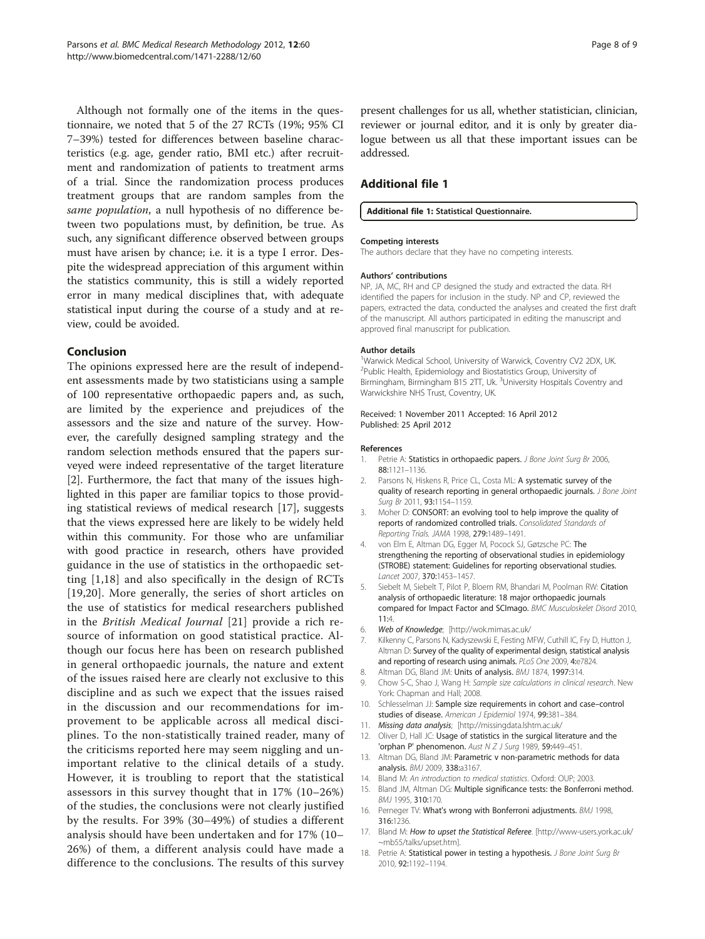<span id="page-8-0"></span>Although not formally one of the items in the questionnaire, we noted that 5 of the 27 RCTs (19%; 95% CI 7–39%) tested for differences between baseline characteristics (e.g. age, gender ratio, BMI etc.) after recruitment and randomization of patients to treatment arms of a trial. Since the randomization process produces treatment groups that are random samples from the same population, a null hypothesis of no difference between two populations must, by definition, be true. As such, any significant difference observed between groups must have arisen by chance; i.e. it is a type I error. Despite the widespread appreciation of this argument within the statistics community, this is still a widely reported error in many medical disciplines that, with adequate statistical input during the course of a study and at review, could be avoided.

## Conclusion

The opinions expressed here are the result of independent assessments made by two statisticians using a sample of 100 representative orthopaedic papers and, as such, are limited by the experience and prejudices of the assessors and the size and nature of the survey. However, the carefully designed sampling strategy and the random selection methods ensured that the papers surveyed were indeed representative of the target literature [2]. Furthermore, the fact that many of the issues highlighted in this paper are familiar topics to those providing statistical reviews of medical research [17], suggests that the views expressed here are likely to be widely held within this community. For those who are unfamiliar with good practice in research, others have provided guidance in the use of statistics in the orthopaedic setting [1,18] and also specifically in the design of RCTs [[19,20\]](#page-9-0). More generally, the series of short articles on the use of statistics for medical researchers published in the British Medical Journal [[21\]](#page-9-0) provide a rich resource of information on good statistical practice. Although our focus here has been on research published in general orthopaedic journals, the nature and extent of the issues raised here are clearly not exclusive to this discipline and as such we expect that the issues raised in the discussion and our recommendations for improvement to be applicable across all medical disciplines. To the non-statistically trained reader, many of the criticisms reported here may seem niggling and unimportant relative to the clinical details of a study. However, it is troubling to report that the statistical assessors in this survey thought that in 17% (10–26%) of the studies, the conclusions were not clearly justified by the results. For 39% (30–49%) of studies a different analysis should have been undertaken and for 17% (10– 26%) of them, a different analysis could have made a difference to the conclusions. The results of this survey present challenges for us all, whether statistician, clinician, reviewer or journal editor, and it is only by greater dialogue between us all that these important issues can be addressed.

## Additional file 1

#### [Additional file 1:](http://www.biomedcentral.com/content/supplementary/1471-2288-12-60-S1.doc) Statistical Questionnaire.

#### Competing interests

The authors declare that they have no competing interests.

#### Authors' contributions

NP, JA, MC, RH and CP designed the study and extracted the data. RH identified the papers for inclusion in the study. NP and CP, reviewed the papers, extracted the data, conducted the analyses and created the first draft of the manuscript. All authors participated in editing the manuscript and approved final manuscript for publication.

#### Author details

<sup>1</sup>Warwick Medical School, University of Warwick, Coventry CV2 2DX, UK <sup>2</sup>Public Health, Epidemiology and Biostatistics Group, University of Birmingham, Birmingham B15 2TT, Uk. <sup>3</sup>University Hospitals Coventry and Warwickshire NHS Trust, Coventry, UK.

#### Received: 1 November 2011 Accepted: 16 April 2012 Published: 25 April 2012

#### References

- Petrie A: Statistics in orthopaedic papers. J Bone Joint Surg Br 2006, 88:1121–1136.
- 2. Parsons N, Hiskens R, Price CL, Costa ML: A systematic survey of the quality of research reporting in general orthopaedic journals. J Bone Joint Surg Br 2011, 93:1154–1159.
- 3. Moher D: CONSORT: an evolving tool to help improve the quality of reports of randomized controlled trials. Consolidated Standards of Reporting Trials. JAMA 1998, 279:1489–1491.
- von Elm E, Altman DG, Egger M, Pocock SJ, Gøtzsche PC: The strengthening the reporting of observational studies in epidemiology (STROBE) statement: Guidelines for reporting observational studies. Lancet 2007, 370:1453–1457.
- 5. Siebelt M, Siebelt T, Pilot P, Bloem RM, Bhandari M, Poolman RW: Citation analysis of orthopaedic literature: 18 major orthopaedic journals compared for Impact Factor and SCImago. BMC Musculoskelet Disord 2010, 11:4.
- 6. Web of Knowledge; [\[http://wok.mimas.ac.uk/](http://wok.mimas.ac.uk/)
- 7. Kilkenny C, Parsons N, Kadyszewski E, Festing MFW, Cuthill IC, Fry D, Hutton J, Altman D: Survey of the quality of experimental design, statistical analysis and reporting of research using animals. PLoS One 2009, 4:e7824.
- 8. Altman DG, Bland JM: Units of analysis. BMJ 1874, 1997:314.
- 9. Chow S-C, Shao J, Wang H: Sample size calculations in clinical research. New York: Chapman and Hall; 2008.
- 10. Schlesselman JJ: Sample size requirements in cohort and case–control studies of disease. American J Epidemiol 1974, 99:381-384.
- 11. Missing data analysis; [<http://missingdata.lshtm.ac.uk/>
- 12. Oliver D, Hall JC: Usage of statistics in the surgical literature and the 'orphan P' phenomenon. Aust N Z J Surg 1989, 59:449-451.
- 13. Altman DG, Bland JM: Parametric v non-parametric methods for data analysis. BMJ 2009, 338:a3167.
- 14. Bland M: An introduction to medical statistics. Oxford: OUP; 2003.
- 15. Bland JM, Altman DG: Multiple significance tests: the Bonferroni method. BMJ 1995, 310:170.
- 16. Perneger TV: What's wrong with Bonferroni adjustments. BMJ 1998, 316:1236.
- 17. Bland M: How to upset the Statistical Referee. [\[http://www-users.york.ac.uk/](http://www-users.york.ac.uk/~mb55/talks/upset.htm) [~mb55/talks/upset.htm](http://www-users.york.ac.uk/~mb55/talks/upset.htm)].
- 18. Petrie A: Statistical power in testing a hypothesis. J Bone Joint Surg Br 2010, 92:1192–1194.